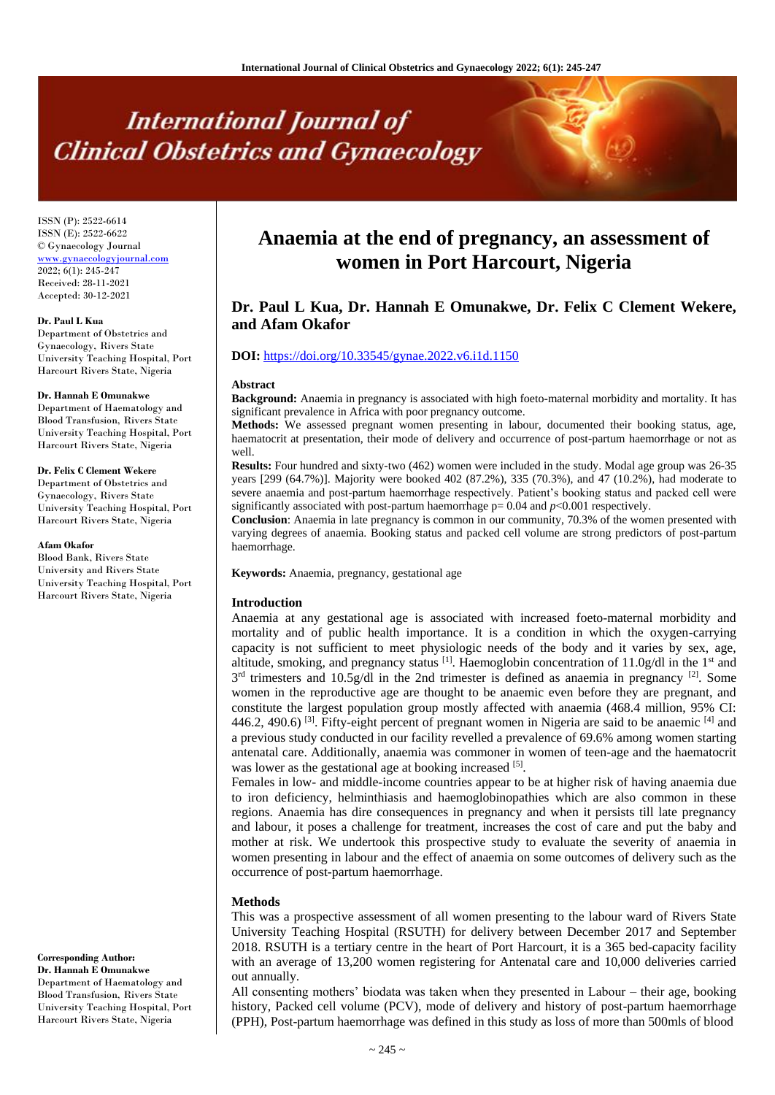# **International Journal of Clinical Obstetrics and Gynaecology**

ISSN (P): 2522-6614 ISSN (E): 2522-6622 © Gynaecology Journal <www.gynaecologyjournal.com> 2022; 6(1): 245-247 Received: 28-11-2021 Accepted: 30-12-2021

#### **Dr. Paul L Kua**

Department of Obstetrics and Gynaecology, Rivers State University Teaching Hospital, Port Harcourt Rivers State, Nigeria

#### **Dr. Hannah E Omunakwe**

Department of Haematology and Blood Transfusion, Rivers State University Teaching Hospital, Port Harcourt Rivers State, Nigeria

#### **Dr. Felix C Clement Wekere**

Department of Obstetrics and Gynaecology, Rivers State University Teaching Hospital, Port Harcourt Rivers State, Nigeria

#### **Afam Okafor**

Blood Bank, Rivers State University and Rivers State University Teaching Hospital, Port Harcourt Rivers State, Nigeria

**Corresponding Author:**

**Dr. Hannah E Omunakwe** Department of Haematology and Blood Transfusion, Rivers State University Teaching Hospital, Port Harcourt Rivers State, Nigeria

# **Anaemia at the end of pregnancy, an assessment of women in Port Harcourt, Nigeria**

# **Dr. Paul L Kua, Dr. Hannah E Omunakwe, Dr. Felix C Clement Wekere, and Afam Okafor**

# **DOI:** <https://doi.org/10.33545/gynae.2022.v6.i1d.1150>

#### **Abstract**

**Background:** Anaemia in pregnancy is associated with high foeto-maternal morbidity and mortality. It has significant prevalence in Africa with poor pregnancy outcome.

**Methods:** We assessed pregnant women presenting in labour, documented their booking status, age, haematocrit at presentation, their mode of delivery and occurrence of post-partum haemorrhage or not as well.

**Results:** Four hundred and sixty-two (462) women were included in the study. Modal age group was 26-35 years [299 (64.7%)]. Majority were booked 402 (87.2%), 335 (70.3%), and 47 (10.2%), had moderate to severe anaemia and post-partum haemorrhage respectively. Patient's booking status and packed cell were significantly associated with post-partum haemorrhage  $p= 0.04$  and  $p<0.001$  respectively.

**Conclusion**: Anaemia in late pregnancy is common in our community, 70.3% of the women presented with varying degrees of anaemia. Booking status and packed cell volume are strong predictors of post-partum haemorrhage.

**Keywords:** Anaemia, pregnancy, gestational age

#### **Introduction**

Anaemia at any gestational age is associated with increased foeto-maternal morbidity and mortality and of public health importance. It is a condition in which the oxygen-carrying capacity is not sufficient to meet physiologic needs of the body and it varies by sex, age, altitude, smoking, and pregnancy status  $^{[1]}$ . Haemoglobin concentration of 11.0g/dl in the 1<sup>st</sup> and  $3^{rd}$  trimesters and 10.5g/dl in the 2nd trimester is defined as anaemia in pregnancy <sup>[2]</sup>. Some women in the reproductive age are thought to be anaemic even before they are pregnant, and constitute the largest population group mostly affected with anaemia (468.4 million, 95% CI: 446.2, 490.6)  $^{[3]}$ . Fifty-eight percent of pregnant women in Nigeria are said to be anaemic  $^{[4]}$  and a previous study conducted in our facility revelled a prevalence of 69.6% among women starting antenatal care. Additionally, anaemia was commoner in women of teen-age and the haematocrit was lower as the gestational age at booking increased [5].

Females in low- and middle-income countries appear to be at higher risk of having anaemia due to iron deficiency, helminthiasis and haemoglobinopathies which are also common in these regions. Anaemia has dire consequences in pregnancy and when it persists till late pregnancy and labour, it poses a challenge for treatment, increases the cost of care and put the baby and mother at risk. We undertook this prospective study to evaluate the severity of anaemia in women presenting in labour and the effect of anaemia on some outcomes of delivery such as the occurrence of post-partum haemorrhage.

## **Methods**

This was a prospective assessment of all women presenting to the labour ward of Rivers State University Teaching Hospital (RSUTH) for delivery between December 2017 and September 2018. RSUTH is a tertiary centre in the heart of Port Harcourt, it is a 365 bed-capacity facility with an average of 13,200 women registering for Antenatal care and 10,000 deliveries carried out annually.

All consenting mothers' biodata was taken when they presented in Labour – their age, booking history, Packed cell volume (PCV), mode of delivery and history of post-partum haemorrhage (PPH), Post-partum haemorrhage was defined in this study as loss of more than 500mls of blood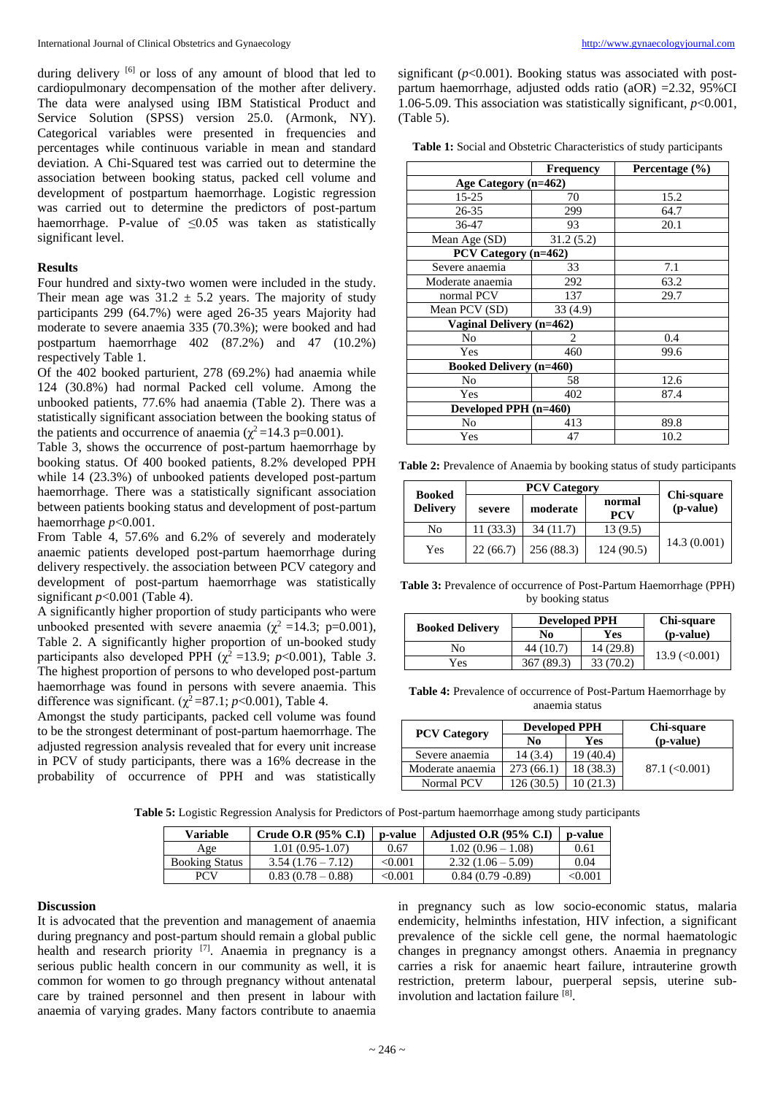during delivery <sup>[6]</sup> or loss of any amount of blood that led to cardiopulmonary decompensation of the mother after delivery. The data were analysed using IBM Statistical Product and Service Solution (SPSS) version 25.0. (Armonk, NY). Categorical variables were presented in frequencies and percentages while continuous variable in mean and standard deviation. A Chi-Squared test was carried out to determine the association between booking status, packed cell volume and development of postpartum haemorrhage. Logistic regression was carried out to determine the predictors of post-partum haemorrhage. P-value of  $\leq 0.05$  was taken as statistically significant level.

#### **Results**

Four hundred and sixty-two women were included in the study. Their mean age was  $31.2 \pm 5.2$  years. The majority of study participants 299 (64.7%) were aged 26-35 years Majority had moderate to severe anaemia 335 (70.3%); were booked and had postpartum haemorrhage 402 (87.2%) and 47 (10.2%) respectively Table 1.

Of the 402 booked parturient, 278 (69.2%) had anaemia while 124 (30.8%) had normal Packed cell volume. Among the unbooked patients, 77.6% had anaemia (Table 2). There was a statistically significant association between the booking status of the patients and occurrence of anaemia ( $\chi^2$ =14.3 p=0.001).

Table 3, shows the occurrence of post-partum haemorrhage by booking status. Of 400 booked patients, 8.2% developed PPH while 14 (23.3%) of unbooked patients developed post-partum haemorrhage. There was a statistically significant association between patients booking status and development of post-partum haemorrhage *p*<0.001.

From Table 4, 57.6% and 6.2% of severely and moderately anaemic patients developed post-partum haemorrhage during delivery respectively. the association between PCV category and development of post-partum haemorrhage was statistically significant  $p<0.001$  (Table 4).

A significantly higher proportion of study participants who were unbooked presented with severe anaemia ( $\chi^2$  =14.3; p=0.001), Table 2. A significantly higher proportion of un-booked study participants also developed PPH ( $\chi^2$  =13.9; *p*<0.001), Table 3. The highest proportion of persons to who developed post-partum haemorrhage was found in persons with severe anaemia. This difference was significant. ( $\chi^2$ =87.1; *p*<0.001), Table 4.

Amongst the study participants, packed cell volume was found to be the strongest determinant of post-partum haemorrhage. The adjusted regression analysis revealed that for every unit increase in PCV of study participants, there was a 16% decrease in the probability of occurrence of PPH and was statistically

significant  $(p<0.001)$ . Booking status was associated with postpartum haemorrhage, adjusted odds ratio (aOR) =2.32, 95%CI 1.06-5.09. This association was statistically significant, *p*<0.001, (Table 5).

**Table 1:** Social and Obstetric Characteristics of study participants

|                                | <b>Frequency</b> | Percentage $(\% )$ |
|--------------------------------|------------------|--------------------|
| Age Category (n=462)           |                  |                    |
| $15 - 25$                      | 70               | 15.2               |
| 26-35                          | 299              | 64.7               |
| 36-47                          | 93               | 20.1               |
| Mean Age (SD)                  | 31.2(5.2)        |                    |
| PCV Category (n=462)           |                  |                    |
| Severe anaemia                 | 33               | 7.1                |
| Moderate anaemia               | 292              | 63.2               |
| normal PCV                     | 137              | 29.7               |
| Mean PCV (SD)                  | 33(4.9)          |                    |
| Vaginal Delivery (n=462)       |                  |                    |
| No                             | 2                | 0.4                |
| Yes                            | 460              | 99.6               |
| <b>Booked Delivery (n=460)</b> |                  |                    |
| No                             | 58               | 12.6               |
| Yes                            | 402              | 87.4               |
| Developed PPH (n=460)          |                  |                    |
| No                             | 413              | 89.8               |
| Yes                            | 47               | 10.2               |

**Table 2:** Prevalence of Anaemia by booking status of study participants

| <b>Booked</b>   | <b>PCV Category</b> |            |                      |                         |  |
|-----------------|---------------------|------------|----------------------|-------------------------|--|
| <b>Delivery</b> | severe              | moderate   | normal<br><b>PCV</b> | Chi-square<br>(p-value) |  |
| No              | 11(33.3)            | 34(11.7)   | 13 (9.5)             |                         |  |
| Yes             | 22(66.7)            | 256 (88.3) | 124(90.5)            | 14.3(0.001)             |  |

**Table 3:** Prevalence of occurrence of Post-Partum Haemorrhage (PPH) by booking status

| <b>Booked Delivery</b> | <b>Developed PPH</b> |           | Chi-square           |  |
|------------------------|----------------------|-----------|----------------------|--|
|                        | No                   | Yes       | (p-value)            |  |
| No                     | 44 (10.7)            | 14 (29.8) | $13.9 \approx 0.001$ |  |
| Yes                    | 367 (89.3)           | 33 (70.2) |                      |  |

**Table 4:** Prevalence of occurrence of Post-Partum Haemorrhage by anaemia status

| <b>PCV Category</b> | <b>Developed PPH</b> |           | Chi-square           |  |
|---------------------|----------------------|-----------|----------------------|--|
|                     | No                   | Yes       | (p-value)            |  |
| Severe anaemia      | 14 (3.4)             | 19(40.4)  |                      |  |
| Moderate anaemia    | 273(66.1)            | 18 (38.3) | $87.1 \approx 0.001$ |  |
| Normal PCV          | 126(30.5)            | 10(21.3)  |                      |  |

**Table 5:** Logistic Regression Analysis for Predictors of Post-partum haemorrhage among study participants

| <b>Variable</b>       | Crude O.R $(95\% \text{ C}.\text{I})$ | p-value      | Adjusted O.R $(95\% \text{ C.I})$ | p-value |
|-----------------------|---------------------------------------|--------------|-----------------------------------|---------|
| Age                   | $1.01(0.95-1.07)$                     | 0.67         | $1.02(0.96-1.08)$                 | 0.61    |
| <b>Booking Status</b> | $3.54(1.76 - 7.12)$                   | < 0.001      | $2.32(1.06 - 5.09)$               | 0.04    |
| <b>PCV</b>            | $0.83(0.78-0.88)$                     | $<\!\!0.001$ | $0.84(0.79-0.89)$                 | < 0.001 |

#### **Discussion**

It is advocated that the prevention and management of anaemia during pregnancy and post-partum should remain a global public health and research priority <sup>[7]</sup>. Anaemia in pregnancy is a serious public health concern in our community as well, it is common for women to go through pregnancy without antenatal care by trained personnel and then present in labour with anaemia of varying grades. Many factors contribute to anaemia

in pregnancy such as low socio-economic status, malaria endemicity, helminths infestation, HIV infection, a significant prevalence of the sickle cell gene, the normal haematologic changes in pregnancy amongst others. Anaemia in pregnancy carries a risk for anaemic heart failure, intrauterine growth restriction, preterm labour, puerperal sepsis, uterine subinvolution and lactation failure [8].